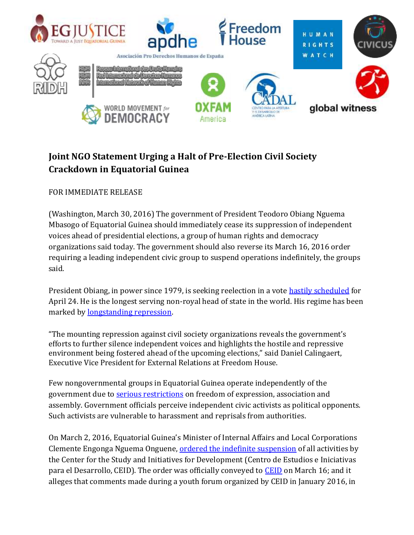

## **Joint NGO Statement Urging a Halt of Pre-Election Civil Society Crackdown in Equatorial Guinea**

FOR IMMEDIATE RELEASE

(Washington, March 30, 2016) The government of President Teodoro Obiang Nguema Mbasogo of Equatorial Guinea should immediately cease its suppression of independent voices ahead of presidential elections, a group of human rights and democracy organizations said today. The government should also reverse its March 16, 2016 order requiring a leading independent civic group to suspend operations indefinitely, the groups said.

President Obiang, in power since 1979, is seeking reelection in a vote [hastily scheduled](http://egjustice.org/post/presidential-elections-2016-entrench-dictatorship) for April 24. He is the longest serving non-royal head of state in the world. His regime has been marked by [longstanding repression.](http://www.state.gov/documents/organization/236566.pdf)

"The mounting repression against civil society organizations reveals the government's efforts to further silence independent voices and highlights the hostile and repressive environment being fostered ahead of the upcoming elections," said Daniel Calingaert, Executive Vice President for External Relations at Freedom House.

Few nongovernmental groups in Equatorial Guinea operate independently of the government due to [serious restrictions](http://www.egjustice.org/post/2015-eg-justice-annual-report) on freedom of expression, association and assembly. Government officials perceive independent civic activists as political opponents. Such activists are vulnerable to harassment and reprisals from authorities.

On March 2, 2016, Equatorial Guinea's Minister of Internal Affairs and Local Corporations Clemente Engonga Nguema Onguene[, ordered the indefinite suspension](http://egjustice.org/sites/_default/files/Suspension%20CEID%20Marzo%202016.pdf) of all activities by the Center for the Study and Initiatives for Development (Centro de Estudios e Iniciativas para el Desarrollo, CEID). The order was officially conveyed to [CEID](http://ceidge.org/index.php/quienes-somos-3/26-press-statement-on-the-suspension-of-ceid-by-the-ministry-of-interior-of-equatorial-guinea) on March 16; and it alleges that comments made during a youth forum organized by CEID in January 2016, in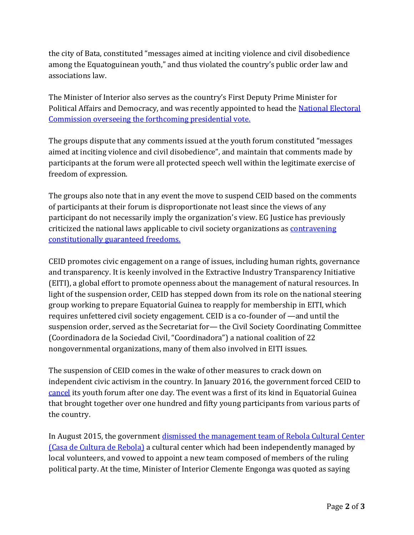the city of Bata, constituted "messages aimed at inciting violence and civil disobedience among the Equatoguinean youth," and thus violated the country's public order law and associations law.

The Minister of Interior also serves as the country's First Deputy Prime Minister for Political Affairs and Democracy, and was recently appointed to head the [National Electoral](http://www.guineaecuatorialpress.com/noticia.php?id=7561)  [Commission](http://www.guineaecuatorialpress.com/noticia.php?id=7561) overseeing the forthcoming presidential vote.

The groups dispute that any comments issued at the youth forum constituted "messages aimed at inciting violence and civil disobedience", and maintain that comments made by participants at the forum were all protected speech well within the legitimate exercise of freedom of expression.

The groups also note that in any event the move to suspend CEID based on the comments of participants at their forum is disproportionate not least since the views of any participant do not necessarily imply the organization's view. EG Justice has previously criticized the national laws applicable to civil society organizations as [contravening](http://www.egjustice.org/es/node/666)  [constitutionally guaranteed freedoms.](http://www.egjustice.org/es/node/666)

CEID promotes civic engagement on a range of issues, including human rights, governance and transparency. It is keenly involved in the Extractive Industry Transparency Initiative (EITI), a global effort to promote openness about the management of natural resources. In light of the suspension order, CEID has stepped down from its role on the national steering group working to prepare Equatorial Guinea to reapply for membership in EITI, which requires unfettered civil society engagement. CEID is a co-founder of —and until the suspension order, served as the Secretariat for— the Civil Society Coordinating Committee (Coordinadora de la Sociedad Civil, "Coordinadora") a national coalition of 22 nongovernmental organizations, many of them also involved in EITI issues.

The suspension of CEID comes in the wake of other measures to crack down on independent civic activism in the country. In January 2016, the government forced CEID to [cancel](http://www.egjustice.org/post/youth-voices-silenced) its youth forum after one day. The event was a first of its kind in Equatorial Guinea that brought together over one hundred and fifty young participants from various parts of the country.

In August 2015, the government [dismissed the management team of Rebola Cultural Center](http://www.egjustice.org/post/freedom-expression-under-threat)  [\(Casa de Cultura de Rebola\)](http://www.egjustice.org/post/freedom-expression-under-threat) a cultural center which had been independently managed by local volunteers, and vowed to appoint a new team composed of members of the ruling political party. At the time, Minister of Interior Clemente Engonga was quoted as saying